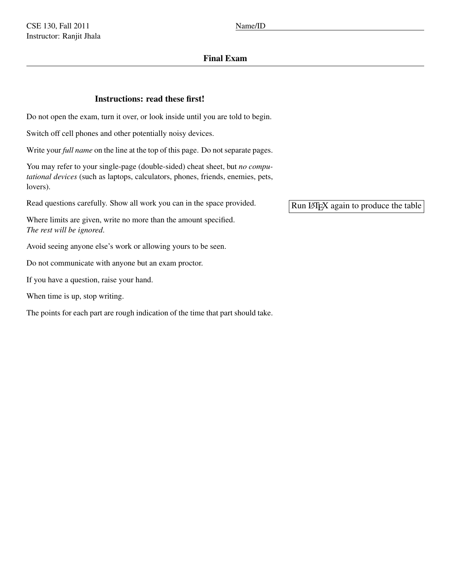## Final Exam

## Instructions: read these first!

Do not open the exam, turn it over, or look inside until you are told to begin.

Switch off cell phones and other potentially noisy devices.

Write your *full name* on the line at the top of this page. Do not separate pages.

You may refer to your single-page (double-sided) cheat sheet, but *no computational devices* (such as laptops, calculators, phones, friends, enemies, pets, lovers).

Read questions carefully. Show all work you can in the space provided.

Where limits are given, write no more than the amount specified. *The rest will be ignored*.

Avoid seeing anyone else's work or allowing yours to be seen.

Do not communicate with anyone but an exam proctor.

If you have a question, raise your hand.

When time is up, stop writing.

The points for each part are rough indication of the time that part should take.

Run LATEX again to produce the table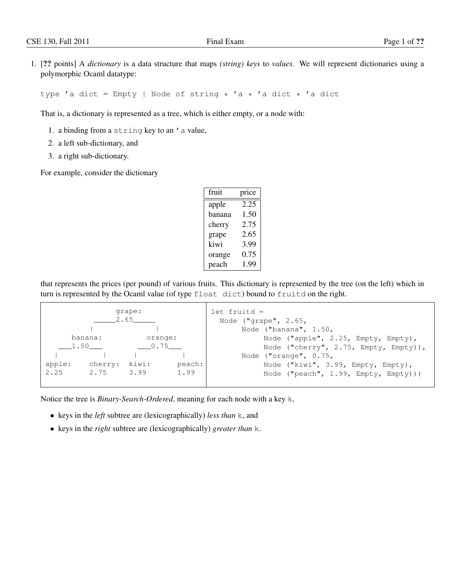1. [?? points] A *dictionary* is a data structure that maps *(string) keys* to *values*. We will represent dictionaries using a polymorphic Ocaml datatype:

type 'a dict = Empty | Node of string \* 'a \* 'a dict \* 'a dict

That is, a dictionary is represented as a tree, which is either empty, or a node with:

- 1. a binding from a string key to an 'a value,
- 2. a left sub-dictionary, and
- 3. a right sub-dictionary.

For example, consider the dictionary

| fruit  | price |
|--------|-------|
| apple  | 2.25  |
| banana | 1.50  |
| cherry | 2.75  |
| grape  | 2.65  |
| kiwi   | 3.99  |
| orange | 0.75  |
| peach  | 1.99  |

that represents the prices (per pound) of various fruits. This dictionary is represented by the tree (on the left) which in turn is represented by the Ocaml value (of type float dict) bound to fruitd on the right.

|                                           | grape:<br>2.65 |                                  |                | $let$ fruitd = | Node $("qrape", 2.65,$                                                                                                                                                                                             |
|-------------------------------------------|----------------|----------------------------------|----------------|----------------|--------------------------------------------------------------------------------------------------------------------------------------------------------------------------------------------------------------------|
| banana:<br>1.50<br>apple:<br>2.25<br>2.75 | cherry:        | orange:<br>0.75<br>kiwi:<br>3.99 | peach:<br>1.99 |                | Node ("banana", $1.50$ ,<br>Node ("apple", 2.25, Empty, Empty),<br>Node ("cherry", 2.75, Empty, Empty)),<br>Node ("orange", 0.75,<br>Node ("kiwi", 3.99, Empty, Empty),<br>Node ("peach", $1.99$ , Empty, Empty))) |

Notice the tree is *Binary-Search-Ordered*, meaning for each node with a key k,

- keys in the *left* subtree are (lexicographically) *less than* k, and
- keys in the *right* subtree are (lexicographically) *greater than* k.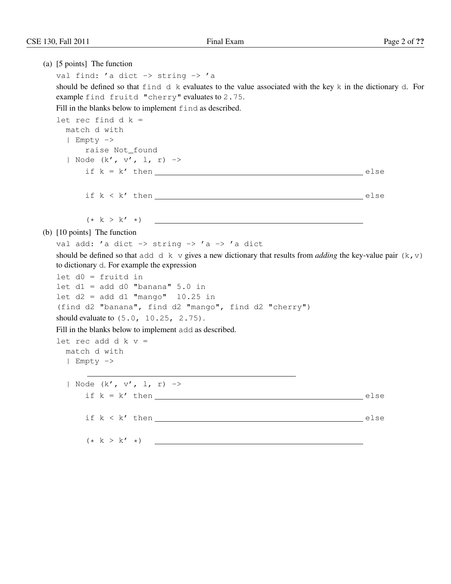(a) [5 points] The function val find: 'a dict -> string -> 'a should be defined so that find d k evaluates to the value associated with the key k in the dictionary d. For example find fruitd "cherry" evaluates to 2.75. Fill in the blanks below to implement find as described. let rec find  $d$   $k =$ match d with | Empty -> raise Not\_found | Node (k', v', l, r) -> if  $k = k'$  then  $\qquad \qquad$  else  $if k < k'$  then else  $(* k > k' * )$ (b) [10 points] The function val add: 'a dict  $\rightarrow$  string  $\rightarrow$  'a  $\rightarrow$  'a dict should be defined so that add d k v gives a new dictionary that results from *adding* the key-value pair  $(k, v)$ to dictionary d. For example the expression let d0 = fruitd in let  $d1 = add d0$  "banana"  $5.0$  in let  $d2 = add d1$  "mango"  $10.25$  in (find d2 "banana", find d2 "mango", find d2 "cherry") should evaluate to (5.0, 10.25, 2.75). Fill in the blanks below to implement add as described. let rec add d  $k$  v = match d with | Empty -> | Node (k', v', l, r) -> if  $k = k'$  then else if  $k < k'$  then else (\* k > k' \*)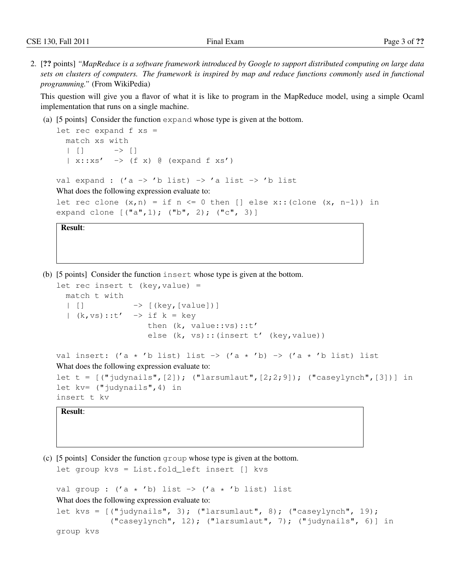2. [?? points] *"MapReduce is a software framework introduced by Google to support distributed computing on large data sets on clusters of computers. The framework is inspired by map and reduce functions commonly used in functional programming."* (From WikiPedia)

This question will give you a flavor of what it is like to program in the MapReduce model, using a simple Ocaml implementation that runs on a single machine.

(a) [5 points] Consider the function expand whose type is given at the bottom.

```
let rec expand f xs =match xs with
  | [ ] - > [ ]| x:xs' \rightarrow (f x) \theta (expand f xs')val expand : ('a \rightarrow 'b \text{ list}) \rightarrow 'a \text{ list} \rightarrow 'b \text{ list}What does the following expression evaluate to:
let rec clone (x, n) = if n \le 0 then [] else x::(clone (x, n-1)) in
expand clone [("a",1); ("b", 2); ("c", 3)]
```
Result:

(b) [5 points] Consider the function insert whose type is given at the bottom.

```
let rec insert t (key, value) =
  match t with
  | [] -> [(key,[value])]
  | (k, vs) :: t' -> if k = keythen (k, value::vs)::t'
                    else (k, vs)::(insert t' (key, value))
val insert: ('a \star 'b list) list -> ('a \star 'b) -> ('a \star 'b list) list
What does the following expression evaluate to:
let t = [('judynails", [2]); (''larsumlaut", [2;2;9]); (''caseylynch", [3]))] in
let kv= ("judynails",4) in
insert t kv
```
## Result:

(c) [5 points] Consider the function group whose type is given at the bottom.

let group kvs = List.fold\_left insert [] kvs

val group :  $('a * 'b)$  list  $\rightarrow$   $('a * 'b)$  list) list What does the following expression evaluate to: let kvs =  $[("judynails", 3); ("larsumlaut", 8); ("caseylynch", 19);$ ("caseylynch", 12); ("larsumlaut", 7); ("judynails", 6)] in group kvs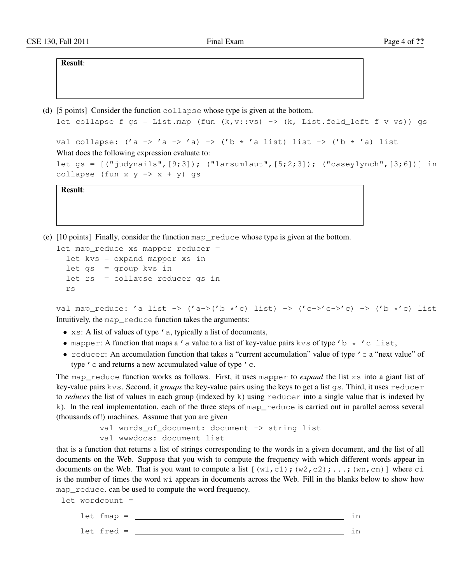Result:

(d) [5 points] Consider the function collapse whose type is given at the bottom.

```
let collapse f gs = List.map (fun (k, v::vs) -> (k, List.fold\_left f v vs)) gs
val collapse: ('a -> 'a -> 'a) -> ('b * 'a list) list -> ('b * 'a) list
What does the following expression evaluate to:
```

```
let gs = [("\text{judynails", [9;3]); ("\text{larsumlaut", [5;2;3]});\text{("caseylynch", [3;6])}] incollapse (fun x y \rightarrow x + y) gs
```
Result:

(e) [10 points] Finally, consider the function map\_reduce whose type is given at the bottom.

```
let map_reduce xs mapper reducer =
  let kvs = expand mapper xs in
  let gs = group kvs in
 let rs = collapse reducer gs in
  rs
```

```
val map_reduce: 'a list -> ('a->('b *'c) list) -> ('c->'c->'c) -> ('b *'c) list
Intuitively, the map_reduce function takes the arguments:
```
- xs: A list of values of type ' a, typically a list of documents,
- mapper: A function that maps a ' a value to a list of key-value pairs kvs of type '  $b \star 'c$  list,
- reducer: An accumulation function that takes a "current accumulation" value of type  $\prime$  c a "next value" of type ' c and returns a new accumulated value of type ' c.

The map\_reduce function works as follows. First, it uses mapper to *expand* the list xs into a giant list of key-value pairs kvs. Second, it *groups* the key-value pairs using the keys to get a list gs. Third, it uses reducer to *reduces* the list of values in each group (indexed by k) using reducer into a single value that is indexed by k). In the real implementation, each of the three steps of map\_reduce is carried out in parallel across several (thousands of!) machines. Assume that you are given

```
val words_of_document: document -> string list
val wwwdocs: document list
```
that is a function that returns a list of strings corresponding to the words in a given document, and the list of all documents on the Web. Suppose that you wish to compute the frequency with which different words appear in documents on the Web. That is you want to compute a list  $[(w1, c1); (w2, c2); \ldots; (wn, cn)]$  where ci is the number of times the word  $w_i$  appears in documents across the Web. Fill in the blanks below to show how map\_reduce. can be used to compute the word frequency.

let wordcount = let fmap = in let fred = in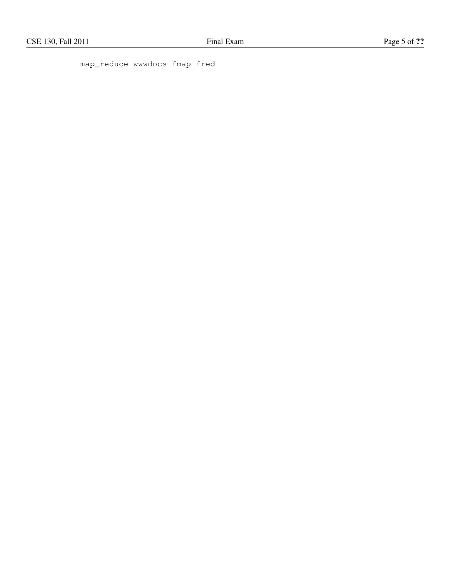map\_reduce wwwdocs fmap fred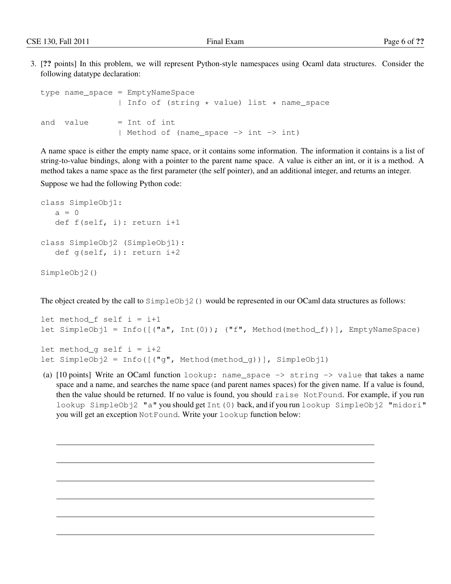3. [?? points] In this problem, we will represent Python-style namespaces using Ocaml data structures. Consider the following datatype declaration:

```
type name_space = EmptyNameSpace
               | Info of (string * value) list * name_space
and value = Int of int
                | Method of (name_space -> int -> int)
```
A name space is either the empty name space, or it contains some information. The information it contains is a list of string-to-value bindings, along with a pointer to the parent name space. A value is either an int, or it is a method. A method takes a name space as the first parameter (the self pointer), and an additional integer, and returns an integer.

Suppose we had the following Python code:

```
class SimpleObj1:
  a = 0def f(self, i): return i+1
class SimpleObj2 (SimpleObj1):
  def g(self, i): return i+2
SimpleObj2()
```
The object created by the call to  $SimpleOb<sub>1</sub>2$  () would be represented in our OCaml data structures as follows:

```
let method f self i = i+1let SimpleObj1 = Info([("a", Int(0)); ("f", Method(method_f))], EmptyNameSpace)
let method q self i = i+2
let SimpleObj2 = Info([("q", Method(method_q))], SimpleObj1)
```
(a)  $[10 \text{ points}]$  Write an OCaml function lookup: name\_space  $\rightarrow$  string  $\rightarrow$  value that takes a name space and a name, and searches the name space (and parent names spaces) for the given name. If a value is found, then the value should be returned. If no value is found, you should raise NotFound. For example, if you run lookup SimpleObj2 "a" you should get Int(0) back, and if you run lookup SimpleObj2 "midori" you will get an exception NotFound. Write your lookup function below: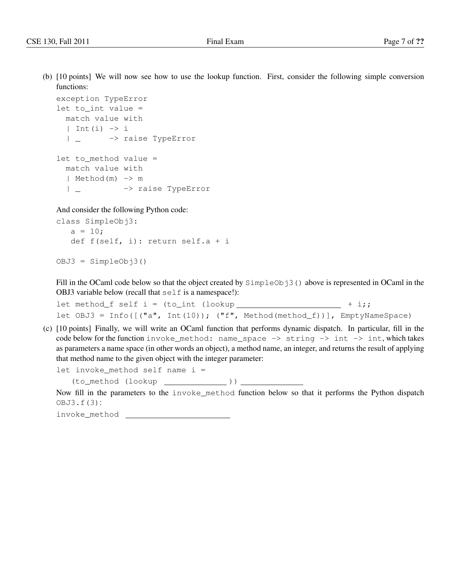(b) [10 points] We will now see how to use the lookup function. First, consider the following simple conversion functions:

```
exception TypeError
let to_int value =
 match value with
  | Int(i) \rightarrow i| _ -> raise TypeError
let to_method value =
 match value with
  | Method(m) -> m
  | _ -> raise TypeError
```
And consider the following Python code:

```
class SimpleObj3:
   a = 10;def f(self, i): return self.a + i
```

```
OBJ3 = SimpleObj3()
```
Fill in the OCaml code below so that the object created by  $SimpleObj3()$  above is represented in OCaml in the OBJ3 variable below (recall that  $s \in \bot f$  is a namespace!):

let method\_f self  $i = (to\_int (lookup \_ \_ \_ \_ \_ \ + i);$ let OBJ3 = Info([("a", Int(10)); ("f", Method(method\_f))], EmptyNameSpace)

(c) [10 points] Finally, we will write an OCaml function that performs dynamic dispatch. In particular, fill in the code below for the function invoke\_method: name\_space  $\rightarrow$  string  $\rightarrow$  int  $\rightarrow$  int, which takes as parameters a name space (in other words an object), a method name, an integer, and returns the result of applying that method name to the given object with the integer parameter:

let invoke method self name  $i =$ 

(to\_method (lookup ))

Now fill in the parameters to the invoke\_method function below so that it performs the Python dispatch OBJ3.f(3):

invoke\_method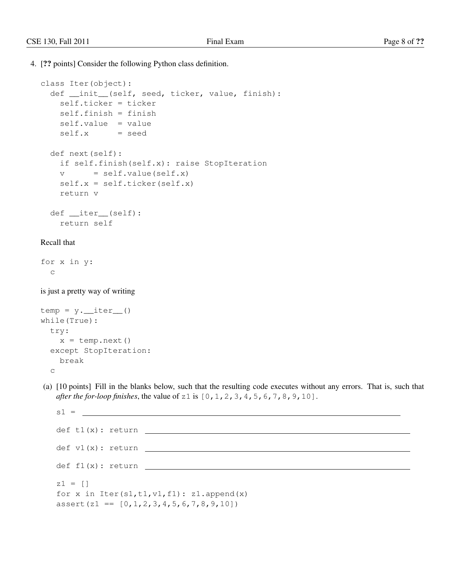4. [?? points] Consider the following Python class definition.

```
class Iter(object):
 def __init__(self, seed, ticker, value, finish):
   self.ticker = ticker
   self.finish = finish
   self.value = value
   self.x = seeddef next(self):
   if self.finish(self.x): raise StopIteration
   v = self.value(self.x)self.x = self.ticker(self.x)
   return v
 def __iter__(self):
   return self
```
## Recall that

for x in y: c

is just a pretty way of writing

```
temp = y.__iter__()while(True):
 try:
   x = temp.next()except StopIteration:
   break
  c
```
(a) [10 points] Fill in the blanks below, such that the resulting code executes without any errors. That is, such that *after the for-loop finishes*, the value of z1 is [0,1,2,3,4,5,6,7,8,9,10].

| $s1 =$                                                                                                             |  |  |  |
|--------------------------------------------------------------------------------------------------------------------|--|--|--|
| def t1(x): return                                                                                                  |  |  |  |
| def v1(x): return                                                                                                  |  |  |  |
| def f1(x): return                                                                                                  |  |  |  |
| $z1 = []$<br>for x in Iter( $sl,tl,vl,fl$ ): $zl.append(x)$<br>$assert (z1 == [0, 1, 2, 3, 4, 5, 6, 7, 8, 9, 10])$ |  |  |  |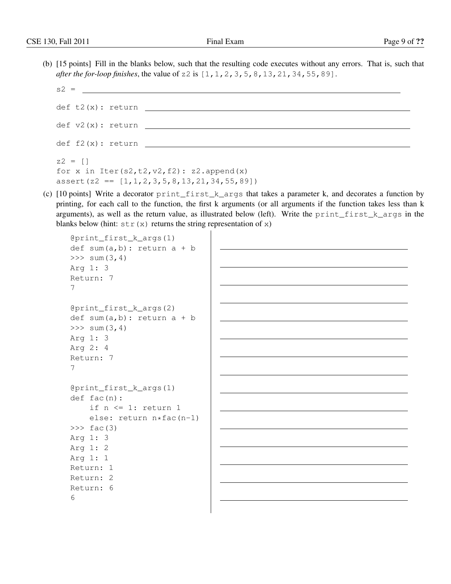(b) [15 points] Fill in the blanks below, such that the resulting code executes without any errors. That is, such that *after the for-loop finishes*, the value of z2 is [1,1,2,3,5,8,13,21,34,55,89].

```
s2 =def t2(x): return
def v2(x): return
def f2(x): return
z2 = []
for x in Iter(s2, t2, v2, f2): z2.append(x)assert(z2 == [1, 1, 2, 3, 5, 8, 13, 21, 34, 55, 89])
```
(c)  $[10 \text{ points}]$  Write a decorator  $\text{print\_first\_k\_args}$  that takes a parameter k, and decorates a function by printing, for each call to the function, the first k arguments (or all arguments if the function takes less than k arguments), as well as the return value, as illustrated below (left). Write the print\_first\_k\_args in the blanks below (hint:  $str(x)$  returns the string representation of x)

```
@print_first_k_args(1)
def sum(a,b): return a + b>> sum (3, 4)Arg 1: 3
Return: 7
7
@print_first_k_args(2)
def sum(a, b): return a + b>> sum (3, 4)Arg 1: 3
Arg 2: 4
Return: 7
7
@print_first_k_args(1)
def fac(n):
    if n \leq 1: return 1
    else: return n*fac(n-1)
\gg fac(3)
Arg 1: 3
Arg 1: 2
Arg 1: 1
Return: 1
Return: 2
Return: 6
6
```
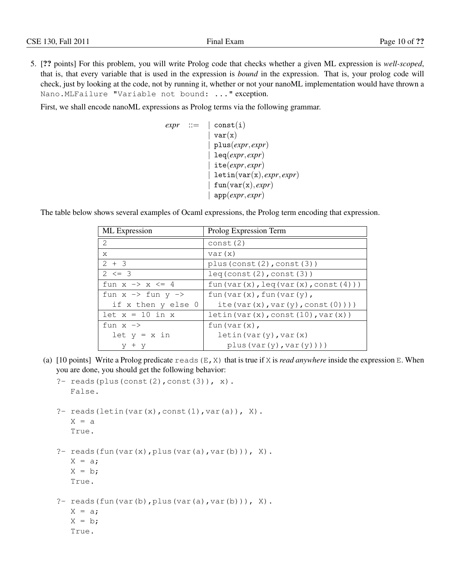5. [?? points] For this problem, you will write Prolog code that checks whether a given ML expression is *well-scoped*, that is, that every variable that is used in the expression is *bound* in the expression. That is, your prolog code will check, just by looking at the code, not by running it, whether or not your nanoML implementation would have thrown a Nano.MLFailure "Variable not bound: ..." exception.

First, we shall encode nanoML expressions as Prolog terms via the following grammar.

```
expr ::= |\text{const}(i)|var(x)| plus(expr, expr)
               | leq(expr, expr)
               | ite(expr, expr)
               | letin(var(x), expr, expr)
               fun(var(x), expr)| app(expr, expr)
```
The table below shows several examples of Ocaml expressions, the Prolog term encoding that expression.

| ML Expression                           | Prolog Expression Term                           |
|-----------------------------------------|--------------------------------------------------|
| $\mathcal{L}$                           | const(2)                                         |
| X                                       | var(x)                                           |
| $2 + 3$                                 | plus (const $(2)$ , const $(3)$ )                |
| $2 \leq 3$                              | leq(const(2),const(3))                           |
| fun $x \rightarrow x \leq 4$            | fun(var(x), $leq(x)$ , $(var(x), const(4))$ )    |
| fun $x \rightarrow$ fun $y \rightarrow$ | fun $\text{(var(x)}, \text{fun}(\text{var(y)}),$ |
| if x then y else 0                      | ite(var $(x)$ , var $(y)$ , const $(0)$ )))      |
| $let x = 10 in x$                       | letin(var(x), const(10), var(x))                 |
| fun $x \rightarrow$                     | $fun(var(x))$ ,                                  |
| $let y = x in$                          | letin(var(y), var(x)                             |
| $+$ y                                   | plus(var(y),var(y)))                             |

(a)  $[10 \text{ points}]$  Write a Prolog predicate reads  $(E, X)$  that is true if X is *read anywhere* inside the expression E. When you are done, you should get the following behavior:

```
?- reads(plus(const(2), const(3)), x).
   False.
?- reads(letin(var(x), const(1), var(a)), X).
   X = aTrue.
?- reads(fun(var(x), plus(var(a), var(b))), X).
   X = a;
   X = b;
   True.
?- reads(fun(var(b), plus(var(a), var(b))), X).
   X = a;X = b;
```
True.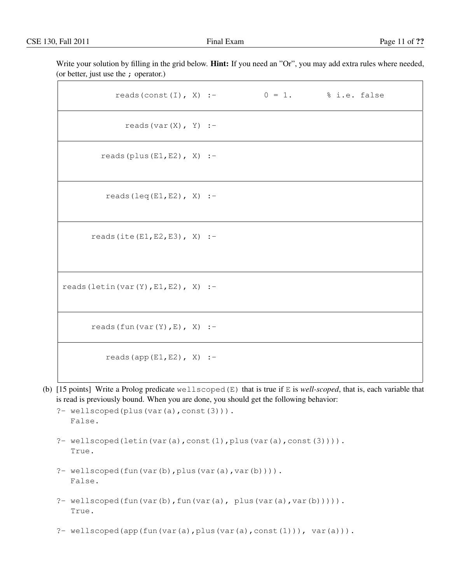Write your solution by filling in the grid below. **Hint:** If you need an "Or", you may add extra rules where needed, (or better, just use the ; operator.)

| reads (const (I), X) :- $0 = 1$ . % i.e. false |  |  |
|------------------------------------------------|--|--|
| reads $(var(X), Y)$ :-                         |  |  |
| reads (plus $(E1, E2)$ , X) :-                 |  |  |
| reads $(\text{leq}(E1, E2), X)$ :-             |  |  |
| reads (ite $(E1, E2, E3)$ , X) :-              |  |  |
| reads (letin (var $(Y)$ , E1, E2), X) :-       |  |  |
| reads $(fun(var(Y), E), X)$ :-                 |  |  |
| reads (app $(E1, E2)$ , X) :-                  |  |  |

(b) [15 points] Write a Prolog predicate wellscoped(E) that is true if E is *well-scoped*, that is, each variable that is read is previously bound. When you are done, you should get the following behavior:

```
?- wellscoped(plus(var(a),const(3))).
  False.
```
- ?- wellscoped(letin(var(a),const(1),plus(var(a),const(3)))). True.
- ?- wellscoped(fun(var(b), plus(var(a), var(b)))). False.
- ?- wellscoped(fun(var(b),fun(var(a), plus(var(a),var(b))))). True.
- ?- wellscoped(app(fun(var(a),plus(var(a),const(1))), var(a))).